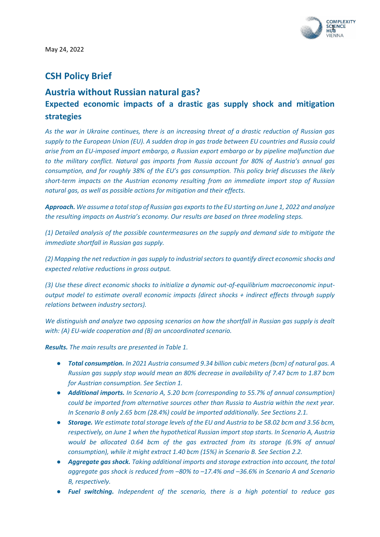

# **CSH Policy Brief**

# **Austria without Russian natural gas? Expected economic impacts of a drastic gas supply shock and mitigation strategies**

*As the war in Ukraine continues, there is an increasing threat of a drastic reduction of Russian gas supply to the European Union (EU). A sudden drop in gas trade between EU countries and Russia could arise from an EU-imposed import embargo, a Russian export embargo or by pipeline malfunction due to the military conflict. Natural gas imports from Russia account for 80% of Austria's annual gas consumption, and for roughly 38% of the EU's gas consumption. This policy brief discusses the likely short-term impacts on the Austrian economy resulting from an immediate import stop of Russian natural gas, as well as possible actions for mitigation and their effects.* 

*Approach. We assume a total stop of Russian gas exports to the EU starting on June 1, 2022 and analyze the resulting impacts on Austria's economy. Our results are based on three modeling steps.* 

*(1) Detailed analysis of the possible countermeasures on the supply and demand side to mitigate the immediate shortfall in Russian gas supply.* 

*(2) Mapping the net reduction in gas supply to industrial sectors to quantify direct economic shocks and expected relative reductions in gross output.* 

*(3) Use these direct economic shocks to initialize a dynamic out-of-equilibrium macroeconomic inputoutput model to estimate overall economic impacts (direct shocks + indirect effects through supply relations between industry sectors).* 

*We distinguish and analyze two opposing scenarios on how the shortfall in Russian gas supply is dealt with: (A) EU-wide cooperation and (B) an uncoordinated scenario.* 

*Results. The main results are presented in Table 1.* 

- *Total consumption. In 2021 Austria consumed 9.34 billion cubic meters (bcm) of natural gas. A Russian gas supply stop would mean an 80% decrease in availability of 7.47 bcm to 1.87 bcm for Austrian consumption. See Section 1.*
- *Additional imports. In Scenario A, 5.20 bcm (corresponding to 55.7% of annual consumption) could be imported from alternative sources other than Russia to Austria within the next year. In Scenario B only 2.65 bcm (28.4%) could be imported additionally. See Sections 2.1.*
- *Storage. We estimate total storage levels of the EU and Austria to be 58.02 bcm and 3.56 bcm, respectively, on June 1 when the hypothetical Russian import stop starts. In Scenario A, Austria would be allocated 0.64 bcm of the gas extracted from its storage (6.9% of annual consumption), while it might extract 1.40 bcm (15%) in Scenario B. See Section 2.2.*
- *Aggregate gas shock. Taking additional imports and storage extraction into account, the total aggregate gas shock is reduced from –80% to –17.4% and –36.6% in Scenario A and Scenario B, respectively.*
- *Fuel switching. Independent of the scenario, there is a high potential to reduce gas*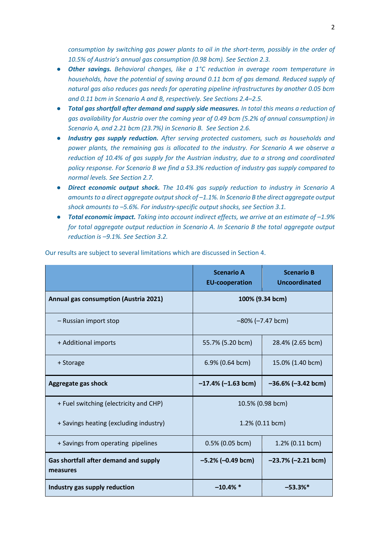*consumption by switching gas power plants to oil in the short-term, possibly in the order of 10.5% of Austria's annual gas consumption (0.98 bcm). See Section 2.3.*

- *Other savings. Behavioral changes, like a 1°C reduction in average room temperature in households, have the potential of saving around 0.11 bcm of gas demand. Reduced supply of natural gas also reduces gas needs for operating pipeline infrastructures by another 0.05 bcm and 0.11 bcm in Scenario A and B, respectively. See Sections 2.4–2.5.*
- *Total gas shortfall after demand and supply side measures. In total this means a reduction of gas availability for Austria over the coming year of 0.49 bcm (5.2% of annual consumption) in Scenario A, and 2.21 bcm (23.7%) in Scenario B. See Section 2.6.*
- *Industry gas supply reduction. After serving protected customers, such as households and power plants, the remaining gas is allocated to the industry. For Scenario A we observe a reduction of 10.4% of gas supply for the Austrian industry, due to a strong and coordinated policy response. For Scenario B we find a 53.3% reduction of industry gas supply compared to normal levels. See Section 2.7.*
- *Direct economic output shock. The 10.4% gas supply reduction to industry in Scenario A*  amounts to a direct aggregate output shock of  $-1.1$ %. In Scenario B the direct aggregate output *shock amounts to –5.6%. For industry-specific output shocks, see Section 3.1.*
- **Total economic impact.** Taking into account indirect effects, we arrive at an estimate of -1.9% *for total aggregate output reduction in Scenario A. In Scenario B the total aggregate output reduction is –9.1%. See Section 3.2.*

|                                                          | <b>Scenario A</b><br><b>EU-cooperation</b> | <b>Scenario B</b><br><b>Uncoordinated</b> |
|----------------------------------------------------------|--------------------------------------------|-------------------------------------------|
| Annual gas consumption (Austria 2021)                    | 100% (9.34 bcm)                            |                                           |
| - Russian import stop                                    | $-80\%$ ( $-7.47$ bcm)                     |                                           |
| + Additional imports                                     | 55.7% (5.20 bcm)                           | 28.4% (2.65 bcm)                          |
| + Storage                                                | 6.9% (0.64 bcm)                            | 15.0% (1.40 bcm)                          |
| Aggregate gas shock                                      | $-17.4\%$ (-1.63 bcm)                      | $-36.6\%$ (-3.42 bcm)                     |
| + Fuel switching (electricity and CHP)                   | 10.5% (0.98 bcm)                           |                                           |
| + Savings heating (excluding industry)                   | 1.2% (0.11 bcm)                            |                                           |
| + Savings from operating pipelines                       | $0.5\%$ (0.05 bcm)                         | 1.2% (0.11 bcm)                           |
| <b>Gas shortfall after demand and supply</b><br>measures | $-5.2\%$ (-0.49 bcm)                       | $-23.7\%$ (-2.21 bcm)                     |
| Industry gas supply reduction                            | $-10.4\%$ *                                | $-53.3%$                                  |

Our results are subject to several limitations which are discussed in Section 4.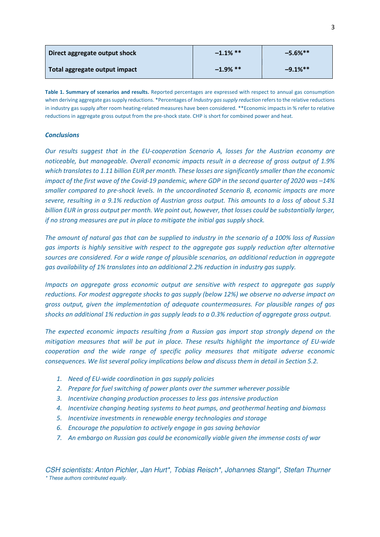| Direct aggregate output shock | $-1.1\%$ ** | $-5.6%$ **  |
|-------------------------------|-------------|-------------|
| Total aggregate output impact | $-1.9\%$ ** | $-9.1\%$ ** |

**Table 1. Summary of scenarios and results.** Reported percentages are expressed with respect to annual gas consumption when deriving aggregate gas supply reductions. \*Percentages of *Industry gas supply reduction* refers to the relative reductions in industry gas supply after room heating-related measures have been considered. \*\*Economic impacts in % refer to relative reductions in aggregate gross output from the pre-shock state. CHP is short for combined power and heat.

#### *Conclusions*

*Our results suggest that in the EU-cooperation Scenario A, losses for the Austrian economy are noticeable, but manageable. Overall economic impacts result in a decrease of gross output of 1.9% which translates to 1.11 billion EUR per month. These losses are significantly smaller than the economic impact of the first wave of the Covid-19 pandemic, where GDP in the second quarter of 2020 was -14% smaller compared to pre-shock levels. In the uncoordinated Scenario B, economic impacts are more severe, resulting in a 9.1% reduction of Austrian gross output. This amounts to a loss of about 5.31 billion EUR in gross output per month. We point out, however, that losses could be substantially larger, if no strong measures are put in place to mitigate the initial gas supply shock.* 

*The amount of natural gas that can be supplied to industry in the scenario of a 100% loss of Russian gas imports is highly sensitive with respect to the aggregate gas supply reduction after alternative sources are considered. For a wide range of plausible scenarios, an additional reduction in aggregate gas availability of 1% translates into an additional 2.2% reduction in industry gas supply.* 

*Impacts on aggregate gross economic output are sensitive with respect to aggregate gas supply reductions. For modest aggregate shocks to gas supply (below 12%) we observe no adverse impact on gross output, given the implementation of adequate countermeasures. For plausible ranges of gas shocks an additional 1% reduction in gas supply leads to a 0.3% reduction of aggregate gross output.* 

*The expected economic impacts resulting from a Russian gas import stop strongly depend on the mitigation measures that will be put in place. These results highlight the importance of EU-wide cooperation and the wide range of specific policy measures that mitigate adverse economic consequences. We list several policy implications below and discuss them in detail in Section 5.2.* 

- *1. Need of EU-wide coordination in gas supply policies*
- *2. Prepare for fuel switching of power plants over the summer wherever possible*
- *3. Incentivize changing production processes to less gas intensive production*
- *4. Incentivize changing heating systems to heat pumps, and geothermal heating and biomass*
- *5. Incentivize investments in renewable energy technologies and storage*
- *6. Encourage the population to actively engage in gas saving behavior*
- *7. An embargo on Russian gas could be economically viable given the immense costs of war*

*CSH scientists: Anton Pichler, Jan Hurt\*, Tobias Reisch\*, Johannes Stangl\*, Stefan Thurner \* These authors contributed equally.*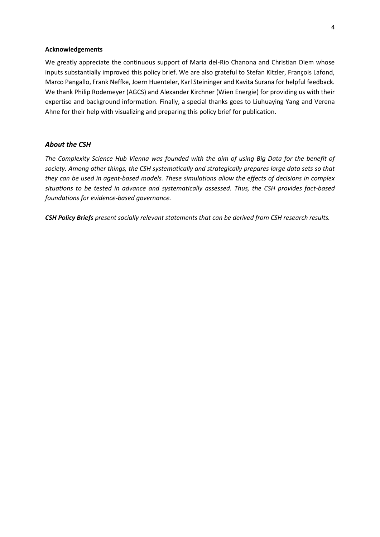#### **Acknowledgements**

We greatly appreciate the continuous support of Maria del-Rio Chanona and Christian Diem whose inputs substantially improved this policy brief. We are also grateful to Stefan Kitzler, François Lafond, Marco Pangallo, Frank Neffke, Joern Huenteler, Karl Steininger and Kavita Surana for helpful feedback. We thank Philip Rodemeyer (AGCS) and Alexander Kirchner (Wien Energie) for providing us with their expertise and background information. Finally, a special thanks goes to Liuhuaying Yang and Verena Ahne for their help with visualizing and preparing this policy brief for publication.

#### *About the CSH*

*The Complexity Science Hub Vienna was founded with the aim of using Big Data for the benefit of society. Among other things, the CSH systematically and strategically prepares large data sets so that they can be used in agent-based models. These simulations allow the effects of decisions in complex situations to be tested in advance and systematically assessed. Thus, the CSH provides fact-based foundations for evidence-based governance.* 

*CSH Policy Briefs present socially relevant statements that can be derived from CSH research results.*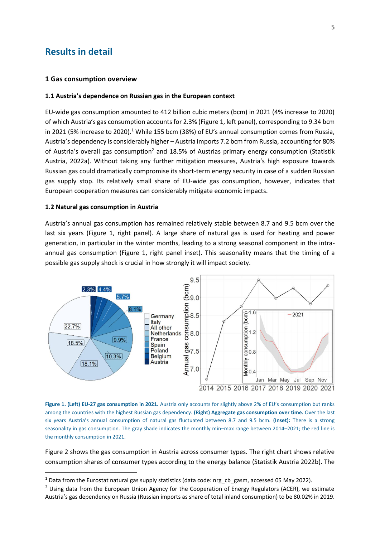## **Results in detail**

#### **1 Gas consumption overview**

#### **1.1 Austria's dependence on Russian gas in the European context**

EU-wide gas consumption amounted to 412 billion cubic meters (bcm) in 2021 (4% increase to 2020) of which Austria's gas consumption accounts for 2.3% (Figure 1, left panel), corresponding to 9.34 bcm in 2021 (5% increase to 2020).<sup>1</sup> While 155 bcm (38%) of EU's annual consumption comes from Russia, Austria's dependency is considerably higher – Austria imports 7.2 bcm from Russia, accounting for 80% of Austria's overall gas consumption<sup>2</sup> and 18.5% of Austrias primary energy consumption (Statistik Austria, 2022a). Without taking any further mitigation measures, Austria's high exposure towards Russian gas could dramatically compromise its short-term energy security in case of a sudden Russian gas supply stop. Its relatively small share of EU-wide gas consumption, however, indicates that European cooperation measures can considerably mitigate economic impacts.

#### **1.2 Natural gas consumption in Austria**

Austria's annual gas consumption has remained relatively stable between 8.7 and 9.5 bcm over the last six years (Figure 1, right panel). A large share of natural gas is used for heating and power generation, in particular in the winter months, leading to a strong seasonal component in the intraannual gas consumption (Figure 1, right panel inset). This seasonality means that the timing of a possible gas supply shock is crucial in how strongly it will impact society.



**Figure 1. (Left) EU-27 gas consumption in 2021.** Austria only accounts for slightly above 2% of EU's consumption but ranks among the countries with the highest Russian gas dependency. **(Right) Aggregate gas consumption over time.** Over the last six years Austria's annual consumption of natural gas fluctuated between 8.7 and 9.5 bcm. **(Inset):** There is a strong seasonality in gas consumption. The gray shade indicates the monthly min–max range between 2014–2021; the red line is the monthly consumption in 2021.

Figure 2 shows the gas consumption in Austria across consumer types. The right chart shows relative consumption shares of consumer types according to the energy balance (Statistik Austria 2022b). The

 $^1$  Data from the Eurostat natural gas supply statistics (data code: nrg\_cb\_gasm, accessed 05 May 2022).

<sup>&</sup>lt;sup>2</sup> Using data from the European Union Agency for the Cooperation of Energy Regulators (ACER), we estimate Austria's gas dependency on Russia (Russian imports as share of total inland consumption) to be 80.02% in 2019.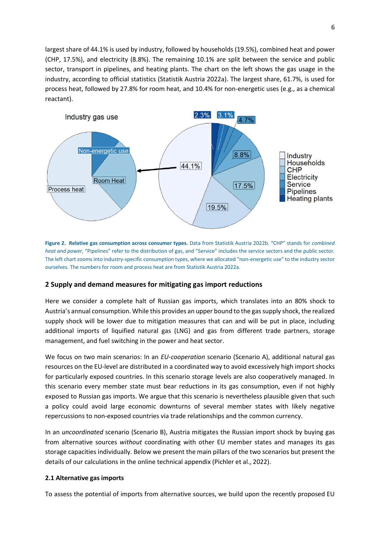largest share of 44.1% is used by industry, followed by households (19.5%), combined heat and power (CHP, 17.5%), and electricity (8.8%). The remaining 10.1% are split between the service and public sector, transport in pipelines, and heating plants. The chart on the left shows the gas usage in the industry, according to official statistics (Statistik Austria 2022a). The largest share, 61.7%, is used for process heat, followed by 27.8% for room heat, and 10.4% for non-energetic uses (e.g., as a chemical reactant).



**Figure 2. Relative gas consumption across consumer types.** Data from Statistik Austria 2022b. "CHP" stands for *combined heat and power*, "Pipelines" refer to the distribution of gas, and "Service" includes the service sectors and the public sector. The left chart zooms into industry-specific consumption types, where we allocated "non-energetic use" to the industry sector ourselves. The numbers for room and process heat are from Statistik Austria 2022a.

## **2 Supply and demand measures for mitigating gas import reductions**

Here we consider a complete halt of Russian gas imports, which translates into an 80% shock to Austria's annual consumption. While this provides an upper bound to the gas supply shock, the realized supply shock will be lower due to mitigation measures that can and will be put in place, including additional imports of liquified natural gas (LNG) and gas from different trade partners, storage management, and fuel switching in the power and heat sector.

We focus on two main scenarios: In an *EU-cooperation* scenario (Scenario A), additional natural gas resources on the EU-level are distributed in a coordinated way to avoid excessively high import shocks for particularly exposed countries. In this scenario storage levels are also cooperatively managed. In this scenario every member state must bear reductions in its gas consumption, even if not highly exposed to Russian gas imports. We argue that this scenario is nevertheless plausible given that such a policy could avoid large economic downturns of several member states with likely negative repercussions to non-exposed countries via trade relationships and the common currency.

In an *uncoordinated* scenario (Scenario B), Austria mitigates the Russian import shock by buying gas from alternative sources *without* coordinating with other EU member states and manages its gas storage capacities individually. Below we present the main pillars of the two scenarios but present the details of our calculations in the online technical appendix (Pichler et al., 2022).

## **2.1 Alternative gas imports**

To assess the potential of imports from alternative sources, we build upon the recently proposed EU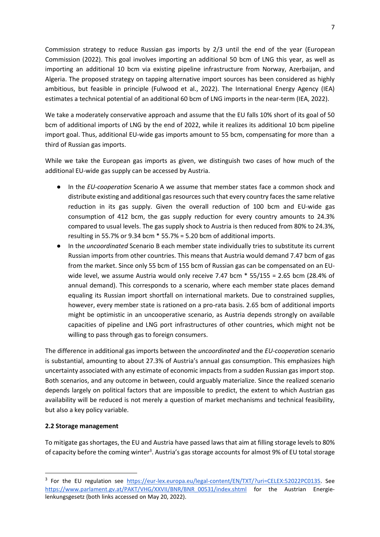Commission strategy to reduce Russian gas imports by 2/3 until the end of the year (European Commission (2022). This goal involves importing an additional 50 bcm of LNG this year, as well as importing an additional 10 bcm via existing pipeline infrastructure from Norway, Azerbaijan, and Algeria. The proposed strategy on tapping alternative import sources has been considered as highly ambitious, but feasible in principle (Fulwood et al., 2022). The International Energy Agency (IEA) estimates a technical potential of an additional 60 bcm of LNG imports in the near-term (IEA, 2022).

We take a moderately conservative approach and assume that the EU falls 10% short of its goal of 50 bcm of additional imports of LNG by the end of 2022, while it realizes its additional 10 bcm pipeline import goal. Thus, additional EU-wide gas imports amount to 55 bcm, compensating for more than a third of Russian gas imports.

While we take the European gas imports as given, we distinguish two cases of how much of the additional EU-wide gas supply can be accessed by Austria.

- In the *EU-cooperation* Scenario A we assume that member states face a common shock and distribute existing and additional gas resources such that every country faces the same relative reduction in its gas supply. Given the overall reduction of 100 bcm and EU-wide gas consumption of 412 bcm, the gas supply reduction for every country amounts to 24.3% compared to usual levels. The gas supply shock to Austria is then reduced from 80% to 24.3%, resulting in 55.7% or 9.34 bcm \* 55.7% = 5.20 bcm of additional imports.
- In the *uncoordinated* Scenario B each member state individually tries to substitute its current Russian imports from other countries. This means that Austria would demand 7.47 bcm of gas from the market. Since only 55 bcm of 155 bcm of Russian gas can be compensated on an EUwide level, we assume Austria would only receive 7.47 bcm  $*$  55/155 = 2.65 bcm (28.4% of annual demand). This corresponds to a scenario, where each member state places demand equaling its Russian import shortfall on international markets. Due to constrained supplies, however, every member state is rationed on a pro-rata basis. 2.65 bcm of additional imports might be optimistic in an uncooperative scenario, as Austria depends strongly on available capacities of pipeline and LNG port infrastructures of other countries, which might not be willing to pass through gas to foreign consumers.

The difference in additional gas imports between the *uncoordinated* and the *EU-cooperation* scenario is substantial, amounting to about 27.3% of Austria's annual gas consumption. This emphasizes high uncertainty associated with any estimate of economic impacts from a sudden Russian gas import stop. Both scenarios, and any outcome in between, could arguably materialize. Since the realized scenario depends largely on political factors that are impossible to predict, the extent to which Austrian gas availability will be reduced is not merely a question of market mechanisms and technical feasibility, but also a key policy variable.

## **2.2 Storage management**

To mitigate gas shortages, the EU and Austria have passed laws that aim at filling storage levels to 80% of capacity before the coming winter<sup>3</sup>. Austria's gas storage accounts for almost 9% of EU total storage

<sup>&</sup>lt;sup>3</sup> For the EU regulation see [https://eur-lex.europa.eu/legal-content/EN/TXT/?uri=CELEX:52022PC0135.](https://eur-lex.europa.eu/legal-content/EN/TXT/?uri=CELEX:52022PC0135) See [https://www.parlament.gv.at/PAKT/VHG/XXVII/BNR/BNR\\_00531/index.shtml](https://www.parlament.gv.at/PAKT/VHG/XXVII/BNR/BNR_00531/index.shtml) for the Austrian Energielenkungsgesetz (both links accessed on May 20, 2022).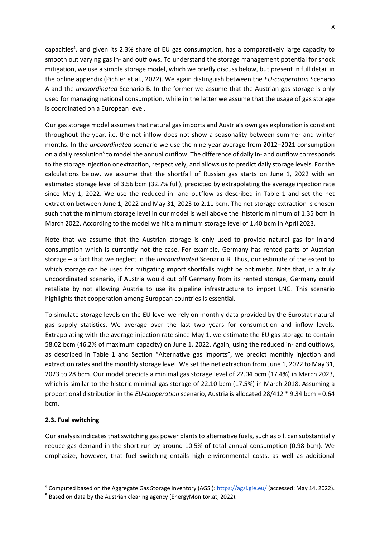capacities<sup>4</sup>, and given its 2.3% share of EU gas consumption, has a comparatively large capacity to smooth out varying gas in- and outflows. To understand the storage management potential for shock mitigation, we use a simple storage model, which we briefly discuss below, but present in full detail in the online appendix (Pichler et al., 2022). We again distinguish between the *EU-cooperation* Scenario A and the *uncoordinated* Scenario B. In the former we assume that the Austrian gas storage is only used for managing national consumption, while in the latter we assume that the usage of gas storage is coordinated on a European level.

Our gas storage model assumes that natural gas imports and Austria's own gas exploration is constant throughout the year, i.e. the net inflow does not show a seasonality between summer and winter months. In the *uncoordinated* scenario we use the nine-year average from 2012–2021 consumption on a daily resolution<sup>5</sup> to model the annual outflow. The difference of daily in- and outflow corresponds to the storage injection or extraction, respectively, and allows us to predict daily storage levels. For the calculations below, we assume that the shortfall of Russian gas starts on June 1, 2022 with an estimated storage level of 3.56 bcm (32.7% full), predicted by extrapolating the average injection rate since May 1, 2022. We use the reduced in- and outflow as described in Table 1 and set the net extraction between June 1, 2022 and May 31, 2023 to 2.11 bcm. The net storage extraction is chosen such that the minimum storage level in our model is well above the historic minimum of 1.35 bcm in March 2022. According to the model we hit a minimum storage level of 1.40 bcm in April 2023.

Note that we assume that the Austrian storage is only used to provide natural gas for inland consumption which is currently not the case. For example, Germany has rented parts of Austrian storage – a fact that we neglect in the *uncoordinated* Scenario B. Thus, our estimate of the extent to which storage can be used for mitigating import shortfalls might be optimistic. Note that, in a truly uncoordinated scenario, if Austria would cut off Germany from its rented storage, Germany could retaliate by not allowing Austria to use its pipeline infrastructure to import LNG. This scenario highlights that cooperation among European countries is essential.

To simulate storage levels on the EU level we rely on monthly data provided by the Eurostat natural gas supply statistics. We average over the last two years for consumption and inflow levels. Extrapolating with the average injection rate since May 1, we estimate the EU gas storage to contain 58.02 bcm (46.2% of maximum capacity) on June 1, 2022. Again, using the reduced in- and outflows, as described in Table 1 and Section "Alternative gas imports", we predict monthly injection and extraction rates and the monthly storage level. We set the net extraction from June 1, 2022 to May 31, 2023 to 28 bcm. Our model predicts a minimal gas storage level of 22.04 bcm (17.4%) in March 2023, which is similar to the historic minimal gas storage of 22.10 bcm (17.5%) in March 2018. Assuming a proportional distribution in the *EU-cooperation* scenario, Austria is allocated 28/412 \* 9.34 bcm = 0.64 bcm.

## **2.3. Fuel switching**

Our analysis indicates that switching gas power plants to alternative fuels, such as oil, can substantially reduce gas demand in the short run by around 10.5% of total annual consumption (0.98 bcm). We emphasize, however, that fuel switching entails high environmental costs, as well as additional

<sup>&</sup>lt;sup>4</sup> Computed based on the Aggregate Gas Storage Inventory (AGSI): [https://agsi.gie.eu/ \(](https://agsi.gie.eu/)accessed: May 14, 2022).

<sup>&</sup>lt;sup>5</sup> Based on data by the Austrian clearing agency (EnergyMonitor.at, 2022).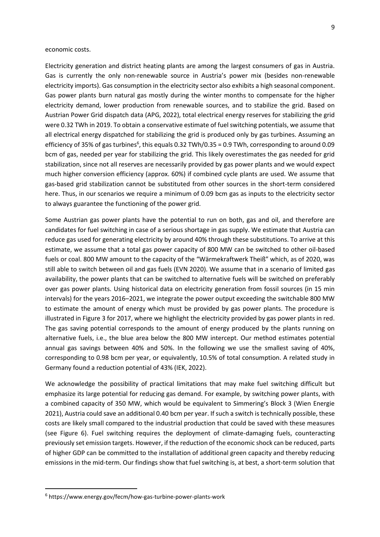economic costs.

Electricity generation and district heating plants are among the largest consumers of gas in Austria. Gas is currently the only non-renewable source in Austria's power mix (besides non-renewable electricity imports). Gas consumption in the electricity sector also exhibits a high seasonal component. Gas power plants burn natural gas mostly during the winter months to compensate for the higher electricity demand, lower production from renewable sources, and to stabilize the grid. Based on Austrian Power Grid dispatch data (APG, 2022), total electrical energy reserves for stabilizing the grid were 0.32 TWh in 2019. To obtain a conservative estimate of fuel switching potentials, we assume that all electrical energy dispatched for stabilizing the grid is produced only by gas turbines. Assuming an efficiency of 35% of gas turbines<sup>6</sup>, this equals 0.32 TWh/0.35 = 0.9 TWh, corresponding to around 0.09 bcm of gas, needed per year for stabilizing the grid. This likely overestimates the gas needed for grid stabilization, since not all reserves are necessarily provided by gas power plants and we would expect much higher conversion efficiency (approx. 60%) if combined cycle plants are used. We assume that gas-based grid stabilization cannot be substituted from other sources in the short-term considered here. Thus, in our scenarios we require a minimum of 0.09 bcm gas as inputs to the electricity sector to always guarantee the functioning of the power grid.

Some Austrian gas power plants have the potential to run on both, gas and oil, and therefore are candidates for fuel switching in case of a serious shortage in gas supply. We estimate that Austria can reduce gas used for generating electricity by around 40% through these substitutions. To arrive at this estimate, we assume that a total gas power capacity of 800 MW can be switched to other oil-based fuels or coal. 800 MW amount to the capacity of the "Wärmekraftwerk Theiß" which, as of 2020, was still able to switch between oil and gas fuels (EVN 2020). We assume that in a scenario of limited gas availability, the power plants that can be switched to alternative fuels will be switched on preferably over gas power plants. Using historical data on electricity generation from fossil sources (in 15 min intervals) for the years 2016–2021, we integrate the power output exceeding the switchable 800 MW to estimate the amount of energy which must be provided by gas power plants. The procedure is illustrated in Figure 3 for 2017, where we highlight the electricity provided by gas power plants in red. The gas saving potential corresponds to the amount of energy produced by the plants running on alternative fuels, i.e., the blue area below the 800 MW intercept. Our method estimates potential annual gas savings between 40% and 50%. In the following we use the smallest saving of 40%, corresponding to 0.98 bcm per year, or equivalently, 10.5% of total consumption. A related study in Germany found a reduction potential of 43% (IEK, 2022).

We acknowledge the possibility of practical limitations that may make fuel switching difficult but emphasize its large potential for reducing gas demand. For example, by switching power plants, with a combined capacity of 350 MW, which would be equivalent to Simmering's Block 3 (Wien Energie 2021), Austria could save an additional 0.40 bcm per year. If such a switch is technically possible, these costs are likely small compared to the industrial production that could be saved with these measures (see Figure 6). Fuel switching requires the deployment of climate-damaging fuels, counteracting previously set emission targets. However, if the reduction of the economic shock can be reduced, parts of higher GDP can be committed to the installation of additional green capacity and thereby reducing emissions in the mid-term. Our findings show that fuel switching is, at best, a short-term solution that

<sup>6</sup> https://www.energy.gov/fecm/how-gas-turbine-power-plants-work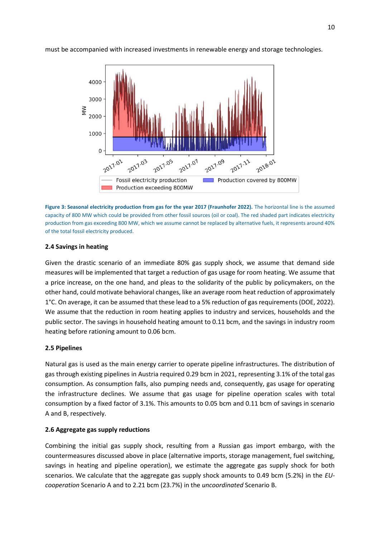

must be accompanied with increased investments in renewable energy and storage technologies.



#### **2.4 Savings in heating**

Given the drastic scenario of an immediate 80% gas supply shock, we assume that demand side measures will be implemented that target a reduction of gas usage for room heating. We assume that a price increase, on the one hand, and pleas to the solidarity of the public by policymakers, on the other hand, could motivate behavioral changes, like an average room heat reduction of approximately 1°C. On average, it can be assumed that these lead to a 5% reduction of gas requirements (DOE, 2022). We assume that the reduction in room heating applies to industry and services, households and the public sector. The savings in household heating amount to 0.11 bcm, and the savings in industry room heating before rationing amount to 0.06 bcm.

#### **2.5 Pipelines**

Natural gas is used as the main energy carrier to operate pipeline infrastructures. The distribution of gas through existing pipelines in Austria required 0.29 bcm in 2021, representing 3.1% of the total gas consumption. As consumption falls, also pumping needs and, consequently, gas usage for operating the infrastructure declines. We assume that gas usage for pipeline operation scales with total consumption by a fixed factor of 3.1%. This amounts to 0.05 bcm and 0.11 bcm of savings in scenario A and B, respectively.

#### **2.6 Aggregate gas supply reductions**

Combining the initial gas supply shock, resulting from a Russian gas import embargo, with the countermeasures discussed above in place (alternative imports, storage management, fuel switching, savings in heating and pipeline operation), we estimate the aggregate gas supply shock for both scenarios. We calculate that the aggregate gas supply shock amounts to 0.49 bcm (5.2%) in the *EUcooperation* Scenario A and to 2.21 bcm (23.7%) in the *uncoordinated* Scenario B.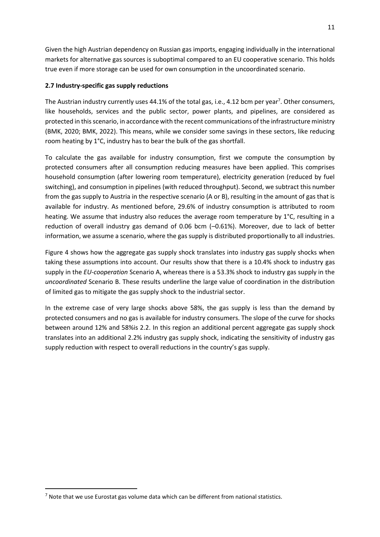Given the high Austrian dependency on Russian gas imports, engaging individually in the international markets for alternative gas sources is suboptimal compared to an EU cooperative scenario. This holds true even if more storage can be used for own consumption in the uncoordinated scenario.

## **2.7 Industry-specific gas supply reductions**

The Austrian industry currently uses 44.1% of the total gas, i.e., 4.12 bcm per year<sup>7</sup>. Other consumers, like households, services and the public sector, power plants, and pipelines, are considered as protected in this scenario, in accordance with the recent communications of the infrastructure ministry (BMK, 2020; BMK, 2022). This means, while we consider some savings in these sectors, like reducing room heating by 1°C, industry has to bear the bulk of the gas shortfall.

To calculate the gas available for industry consumption, first we compute the consumption by protected consumers after all consumption reducing measures have been applied. This comprises household consumption (after lowering room temperature), electricity generation (reduced by fuel switching), and consumption in pipelines (with reduced throughput). Second, we subtract this number from the gas supply to Austria in the respective scenario (A or B), resulting in the amount of gas that is available for industry. As mentioned before, 29.6% of industry consumption is attributed to room heating. We assume that industry also reduces the average room temperature by 1°C, resulting in a reduction of overall industry gas demand of 0.06 bcm (–0.61%). Moreover, due to lack of better information, we assume a scenario, where the gas supply is distributed proportionally to all industries.

Figure 4 shows how the aggregate gas supply shock translates into industry gas supply shocks when taking these assumptions into account. Our results show that there is a 10.4% shock to industry gas supply in the *EU-cooperation* Scenario A, whereas there is a 53.3% shock to industry gas supply in the *uncoordinated* Scenario B. These results underline the large value of coordination in the distribution of limited gas to mitigate the gas supply shock to the industrial sector.

In the extreme case of very large shocks above 58%, the gas supply is less than the demand by protected consumers and no gas is available for industry consumers. The slope of the curve for shocks between around 12% and 58%is 2.2. In this region an additional percent aggregate gas supply shock translates into an additional 2.2% industry gas supply shock, indicating the sensitivity of industry gas supply reduction with respect to overall reductions in the country's gas supply.

 $<sup>7</sup>$  Note that we use Eurostat gas volume data which can be different from national statistics.</sup>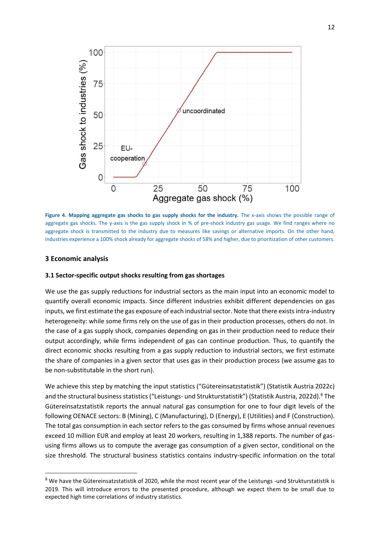

**Figure 4. Mapping aggregate gas shocks to gas supply shocks for the industry.** The x-axis shows the possible range of aggregate gas shocks. The y-axis is the gas supply shock in % of pre-shock industry gas usage. We find ranges where no aggregate shock is transmitted to the industry due to measures like savings or alternative imports. On the other hand, industries experience a 100% shock already for aggregate shocks of 58% and higher, due to prioritization of other customers.

#### **3 Economic analysis**

#### **3.1 Sector-specific output shocks resulting from gas shortages**

We use the gas supply reductions for industrial sectors as the main input into an economic model to quantify overall economic impacts. Since different industries exhibit different dependencies on gas inputs, we first estimate the gas exposure of each industrial sector. Note that there exists intra-industry heterogeneity: while some firms rely on the use of gas in their production processes, others do not. In the case of a gas supply shock, companies depending on gas in their production need to reduce their output accordingly, while firms independent of gas can continue production. Thus, to quantify the direct economic shocks resulting from a gas supply reduction to industrial sectors, we first estimate the share of companies in a given sector that uses gas in their production process (we assume gas to be non-substitutable in the short run).

We achieve this step by matching the input statistics ("Gütereinsatzstatistik") (Statistik Austria 2022c) and the structural business statistics ("Leistungs- und Strukturstatistik") (Statistik Austria, 2022d).<sup>8</sup> The Gütereinsatzstatistik reports the annual natural gas consumption for one to four digit levels of the following OENACE sectors: B (Mining), C (Manufacturing), D (Energy), E (Utilities) and F (Construction). The total gas consumption in each sector refers to the gas consumed by firms whose annual revenues exceed 10 million EUR and employ at least 20 workers, resulting in 1,388 reports. The number of gasusing firms allows us to compute the average gas consumption of a given sector, conditional on the size threshold. The structural business statistics contains industry-specific information on the total

 $8$  We have the Gütereinsatzstatistik of 2020, while the most recent year of the Leistungs -und Strukturstatistik is 2019. This will introduce errors to the presented procedure, although we expect them to be small due to expected high time correlations of industry statistics.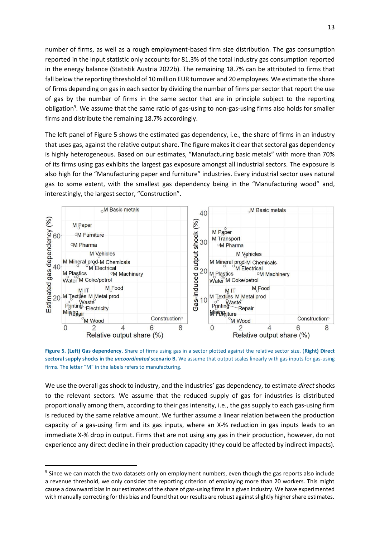number of firms, as well as a rough employment-based firm size distribution. The gas consumption reported in the input statistic only accounts for 81.3% of the total industry gas consumption reported in the energy balance (Statistik Austria 2022b). The remaining 18.7% can be attributed to firms that fall below the reporting threshold of 10 million EUR turnover and 20 employees. We estimate the share of firms depending on gas in each sector by dividing the number of firms per sector that report the use of gas by the number of firms in the same sector that are in principle subject to the reporting obligation<sup>9</sup>. We assume that the same ratio of gas-using to non-gas-using firms also holds for smaller firms and distribute the remaining 18.7% accordingly.

The left panel of Figure 5 shows the estimated gas dependency, i.e., the share of firms in an industry that uses gas, against the relative output share. The figure makes it clear that sectoral gas dependency is highly heterogeneous. Based on our estimates, "Manufacturing basic metals" with more than 70% of its firms using gas exhibits the largest gas exposure amongst all industrial sectors. The exposure is also high for the "Manufacturing paper and furniture" industries. Every industrial sector uses natural gas to some extent, with the smallest gas dependency being in the "Manufacturing wood" and, interestingly, the largest sector, "Construction".



**Figure 5. (Left) Gas dependency**. Share of firms using gas in a sector plotted against the relative sector size. (**Right) Direct sectoral supply shocks in the** *uncoordinated* **scenario B.** We assume that output scales linearly with gas inputs for gas-using firms. The letter "M" in the labels refers to manufacturing.

We use the overall gas shock to industry, and the industries' gas dependency, to estimate *direct* shocks to the relevant sectors. We assume that the reduced supply of gas for industries is distributed proportionally among them, according to their gas intensity, i.e., the gas supply to each gas-using firm is reduced by the same relative amount. We further assume a linear relation between the production capacity of a gas-using firm and its gas inputs, where an X-% reduction in gas inputs leads to an immediate X-% drop in output. Firms that are not using any gas in their production, however, do not experience any direct decline in their production capacity (they could be affected by indirect impacts).

<sup>&</sup>lt;sup>9</sup> Since we can match the two datasets only on employment numbers, even though the gas reports also include a revenue threshold, we only consider the reporting criterion of employing more than 20 workers. This might cause a downward bias in our estimates of the share of gas-using firms in a given industry. We have experimented with manually correcting for this bias and found that our results are robust against slightly higher share estimates.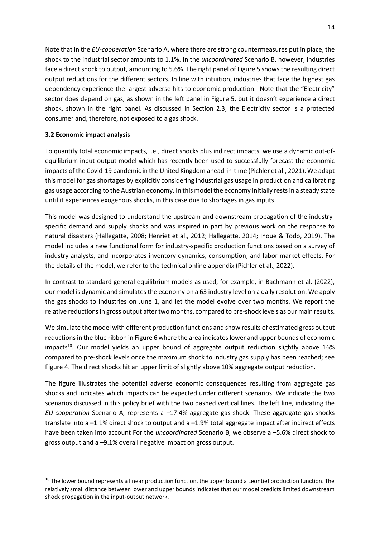Note that in the *EU*-*cooperation* Scenario A, where there are strong countermeasures put in place, the shock to the industrial sector amounts to 1.1%. In the *uncoordinated* Scenario B, however, industries face a direct shock to output, amounting to 5.6%. The right panel of Figure 5 shows the resulting direct output reductions for the different sectors. In line with intuition, industries that face the highest gas dependency experience the largest adverse hits to economic production. Note that the "Electricity" sector does depend on gas, as shown in the left panel in Figure 5, but it doesn't experience a direct shock, shown in the right panel. As discussed in Section 2.3, the Electricity sector is a protected consumer and, therefore, not exposed to a gas shock.

### **3.2 Economic impact analysis**

To quantify total economic impacts, i.e., direct shocks plus indirect impacts, we use a dynamic out-ofequilibrium input-output model which has recently been used to successfully forecast the economic impacts of the Covid-19 pandemic in the United Kingdom ahead-in-time (Pichler et al., 2021). We adapt this model for gas shortages by explicitly considering industrial gas usage in production and calibrating gas usage according to the Austrian economy. In this model the economy initially rests in a steady state until it experiences exogenous shocks, in this case due to shortages in gas inputs.

This model was designed to understand the upstream and downstream propagation of the industryspecific demand and supply shocks and was inspired in part by previous work on the response to natural disasters (Hallegatte, 2008; Henriet et al., 2012; Hallegatte, 2014; Inoue & Todo, 2019). The model includes a new functional form for industry-specific production functions based on a survey of industry analysts, and incorporates inventory dynamics, consumption, and labor market effects. For the details of the model, we refer to the technical online appendix (Pichler et al., 2022).

In contrast to standard general equilibrium models as used, for example, in Bachmann et al. (2022), our model is dynamic and simulates the economy on a 63 industry level on a daily resolution. We apply the gas shocks to industries on June 1, and let the model evolve over two months. We report the relative reductions in gross output after two months, compared to pre-shock levels as our main results.

We simulate the model with different production functions and show results of estimated gross output reductions in the blue ribbon in Figure 6 where the area indicates lower and upper bounds of economic impacts<sup>10</sup>. Our model yields an upper bound of aggregate output reduction slightly above  $16\%$ compared to pre-shock levels once the maximum shock to industry gas supply has been reached; see Figure 4. The direct shocks hit an upper limit of slightly above 10% aggregate output reduction.

The figure illustrates the potential adverse economic consequences resulting from aggregate gas shocks and indicates which impacts can be expected under different scenarios. We indicate the two scenarios discussed in this policy brief with the two dashed vertical lines. The left line, indicating the *EU-cooperation* Scenario A, represents a –17.4% aggregate gas shock. These aggregate gas shocks translate into a –1.1% direct shock to output and a –1.9% total aggregate impact after indirect effects have been taken into account For the *uncoordinated* Scenario B, we observe a –5.6% direct shock to gross output and a –9.1% overall negative impact on gross output.

 $10$  The lower bound represents a linear production function, the upper bound a Leontief production function. The relatively small distance between lower and upper bounds indicates that our model predicts limited downstream shock propagation in the input-output network.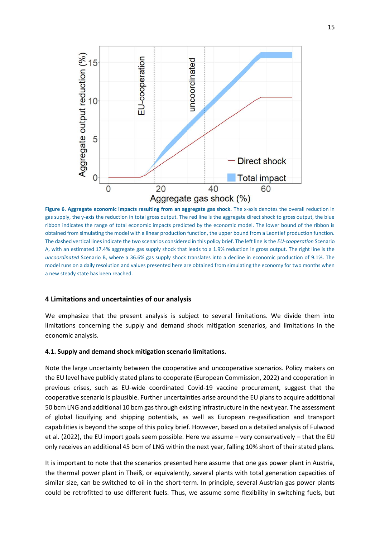

**Figure 6. Aggregate economic impacts resulting from an aggregate gas shock.** The x-axis denotes the overall reduction in gas supply, the y-axis the reduction in total gross output. The red line is the aggregate direct shock to gross output, the blue ribbon indicates the range of total economic impacts predicted by the economic model. The lower bound of the ribbon is obtained from simulating the model with a linear production function, the upper bound from a Leontief production function. The dashed vertical lines indicate the two scenarios considered in this policy brief. The left line is the *EU-cooperation* Scenario A, with an estimated 17.4% aggregate gas supply shock that leads to a 1.9% reduction in gross output. The right line is the *uncoordinated* Scenario B, where a 36.6% gas supply shock translates into a decline in economic production of 9.1%. The model runs on a daily resolution and values presented here are obtained from simulating the economy for two months when a new steady state has been reached.

#### **4 Limitations and uncertainties of our analysis**

We emphasize that the present analysis is subject to several limitations. We divide them into limitations concerning the supply and demand shock mitigation scenarios, and limitations in the economic analysis.

#### **4.1. Supply and demand shock mitigation scenario limitations.**

Note the large uncertainty between the cooperative and uncooperative scenarios. Policy makers on the EU level have publicly stated plans to cooperate (European Commission, 2022) and cooperation in previous crises, such as EU-wide coordinated Covid-19 vaccine procurement, suggest that the cooperative scenario is plausible. Further uncertainties arise around the EU plans to acquire additional 50 bcm LNG and additional 10 bcm gas through existing infrastructure in the next year. The assessment of global liquifying and shipping potentials, as well as European re-gasification and transport capabilities is beyond the scope of this policy brief. However, based on a detailed analysis of Fulwood et al. (2022), the EU import goals seem possible. Here we assume – very conservatively – that the EU only receives an additional 45 bcm of LNG within the next year, falling 10% short of their stated plans.

It is important to note that the scenarios presented here assume that one gas power plant in Austria, the thermal power plant in Theiß, or equivalently, several plants with total generation capacities of similar size, can be switched to oil in the short-term. In principle, several Austrian gas power plants could be retrofitted to use different fuels. Thus, we assume some flexibility in switching fuels, but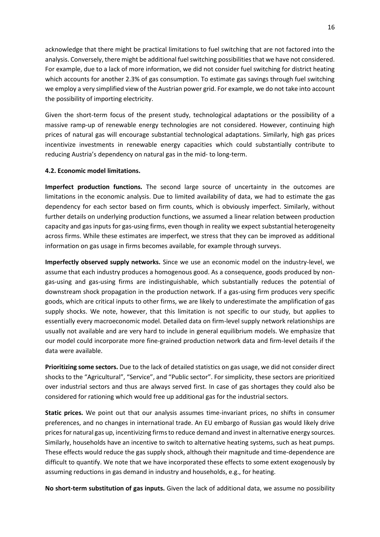acknowledge that there might be practical limitations to fuel switching that are not factored into the analysis. Conversely, there might be additional fuel switching possibilities that we have not considered. For example, due to a lack of more information, we did not consider fuel switching for district heating which accounts for another 2.3% of gas consumption. To estimate gas savings through fuel switching we employ a very simplified view of the Austrian power grid. For example, we do not take into account the possibility of importing electricity.

Given the short-term focus of the present study, technological adaptations or the possibility of a massive ramp-up of renewable energy technologies are not considered. However, continuing high prices of natural gas will encourage substantial technological adaptations. Similarly, high gas prices incentivize investments in renewable energy capacities which could substantially contribute to reducing Austria's dependency on natural gas in the mid- to long-term.

### **4.2. Economic model limitations.**

**Imperfect production functions.** The second large source of uncertainty in the outcomes are limitations in the economic analysis. Due to limited availability of data, we had to estimate the gas dependency for each sector based on firm counts, which is obviously imperfect. Similarly, without further details on underlying production functions, we assumed a linear relation between production capacity and gas inputs for gas-using firms, even though in reality we expect substantial heterogeneity across firms. While these estimates are imperfect, we stress that they can be improved as additional information on gas usage in firms becomes available, for example through surveys.

**Imperfectly observed supply networks.** Since we use an economic model on the industry-level, we assume that each industry produces a homogenous good. As a consequence, goods produced by nongas-using and gas-using firms are indistinguishable, which substantially reduces the potential of downstream shock propagation in the production network. If a gas-using firm produces very specific goods, which are critical inputs to other firms, we are likely to underestimate the amplification of gas supply shocks. We note, however, that this limitation is not specific to our study, but applies to essentially every macroeconomic model. Detailed data on firm-level supply network relationships are usually not available and are very hard to include in general equilibrium models. We emphasize that our model could incorporate more fine-grained production network data and firm-level details if the data were available.

**Prioritizing some sectors.** Due to the lack of detailed statistics on gas usage, we did not consider direct shocks to the "Agricultural", "Service", and "Public sector". For simplicity, these sectors are prioritized over industrial sectors and thus are always served first. In case of gas shortages they could also be considered for rationing which would free up additional gas for the industrial sectors.

**Static prices.** We point out that our analysis assumes time-invariant prices, no shifts in consumer preferences, and no changes in international trade. An EU embargo of Russian gas would likely drive prices for natural gas up, incentivizing firms to reduce demand and invest in alternative energy sources. Similarly, households have an incentive to switch to alternative heating systems, such as heat pumps. These effects would reduce the gas supply shock, although their magnitude and time-dependence are difficult to quantify. We note that we have incorporated these effects to some extent exogenously by assuming reductions in gas demand in industry and households, e.g., for heating.

**No short-term substitution of gas inputs.** Given the lack of additional data, we assume no possibility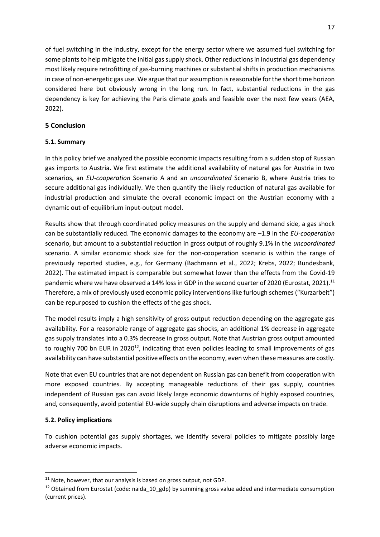of fuel switching in the industry, except for the energy sector where we assumed fuel switching for some plants to help mitigate the initial gas supply shock. Other reductions in industrial gas dependency most likely require retrofitting of gas-burning machines or substantial shifts in production mechanisms in case of non-energetic gas use. We argue that our assumption is reasonable for the short time horizon considered here but obviously wrong in the long run. In fact, substantial reductions in the gas dependency is key for achieving the Paris climate goals and feasible over the next few years (AEA, 2022).

## **5 Conclusion**

## **5.1. Summary**

In this policy brief we analyzed the possible economic impacts resulting from a sudden stop of Russian gas imports to Austria. We first estimate the additional availability of natural gas for Austria in two scenarios, an *EU-cooperation* Scenario A and an *uncoordinated* Scenario B, where Austria tries to secure additional gas individually. We then quantify the likely reduction of natural gas available for industrial production and simulate the overall economic impact on the Austrian economy with a dynamic out-of-equilibrium input-output model.

Results show that through coordinated policy measures on the supply and demand side, a gas shock can be substantially reduced. The economic damages to the economy are –1.9 in the *EU-cooperation* scenario, but amount to a substantial reduction in gross output of roughly 9.1% in the *uncoordinated*  scenario. A similar economic shock size for the non-cooperation scenario is within the range of previously reported studies, e.g., for Germany (Bachmann et al., 2022; Krebs, 2022; Bundesbank, 2022). The estimated impact is comparable but somewhat lower than the effects from the Covid-19 pandemic where we have observed a 14% loss in GDP in the second quarter of 2020 (Eurostat, 2021).<sup>11</sup> Therefore, a mix of previously used economic policy interventions like furlough schemes ("Kurzarbeit") can be repurposed to cushion the effects of the gas shock.

The model results imply a high sensitivity of gross output reduction depending on the aggregate gas availability. For a reasonable range of aggregate gas shocks, an additional 1% decrease in aggregate gas supply translates into a 0.3% decrease in gross output. Note that Austrian gross output amounted to roughly 700 bn EUR in 2020 $^{12}$ , indicating that even policies leading to small improvements of gas availability can have substantial positive effects on the economy, even when these measures are costly.

Note that even EU countries that are not dependent on Russian gas can benefit from cooperation with more exposed countries. By accepting manageable reductions of their gas supply, countries independent of Russian gas can avoid likely large economic downturns of highly exposed countries, and, consequently, avoid potential EU-wide supply chain disruptions and adverse impacts on trade.

## **5.2. Policy implications**

To cushion potential gas supply shortages, we identify several policies to mitigate possibly large adverse economic impacts.

 $11$  Note, however, that our analysis is based on gross output, not GDP.

 $12$  Obtained from Eurostat (code: naida\_10\_gdp) by summing gross value added and intermediate consumption (current prices).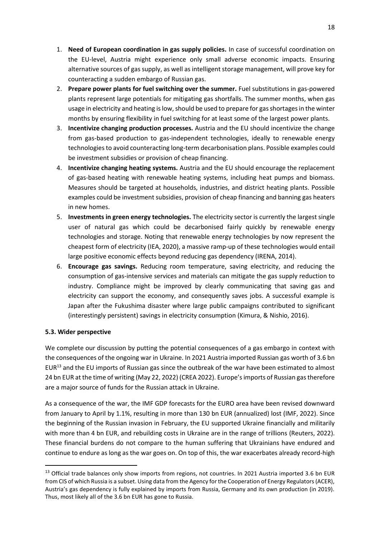- 1. **Need of European coordination in gas supply policies.** In case of successful coordination on the EU-level, Austria might experience only small adverse economic impacts. Ensuring alternative sources of gas supply, as well as intelligent storage management, will prove key for counteracting a sudden embargo of Russian gas.
- 2. **Prepare power plants for fuel switching over the summer.** Fuel substitutions in gas-powered plants represent large potentials for mitigating gas shortfalls. The summer months, when gas usage in electricity and heating is low, should be used to prepare for gas shortages in the winter months by ensuring flexibility in fuel switching for at least some of the largest power plants.
- 3. **Incentivize changing production processes.** Austria and the EU should incentivize the change from gas-based production to gas-independent technologies, ideally to renewable energy technologies to avoid counteracting long-term decarbonisation plans. Possible examples could be investment subsidies or provision of cheap financing.
- 4. **Incentivize changing heating systems.** Austria and the EU should encourage the replacement of gas-based heating with renewable heating systems, including heat pumps and biomass. Measures should be targeted at households, industries, and district heating plants. Possible examples could be investment subsidies, provision of cheap financing and banning gas heaters in new homes.
- 5. **Investments in green energy technologies.** The electricity sector is currently the largest single user of natural gas which could be decarbonised fairly quickly by renewable energy technologies and storage. Noting that renewable energy technologies by now represent the cheapest form of electricity (IEA, 2020), a massive ramp-up of these technologies would entail large positive economic effects beyond reducing gas dependency (IRENA, 2014).
- 6. **Encourage gas savings.** Reducing room temperature, saving electricity, and reducing the consumption of gas-intensive services and materials can mitigate the gas supply reduction to industry. Compliance might be improved by clearly communicating that saving gas and electricity can support the economy, and consequently saves jobs. A successful example is Japan after the Fukushima disaster where large public campaigns contributed to significant (interestingly persistent) savings in electricity consumption (Kimura, & Nishio, 2016).

## **5.3. Wider perspective**

We complete our discussion by putting the potential consequences of a gas embargo in context with the consequences of the ongoing war in Ukraine. In 2021 Austria imported Russian gas worth of 3.6 bn EUR<sup>13</sup> and the EU imports of Russian gas since the outbreak of the war have been estimated to almost 24 bn EUR at the time of writing (May 22, 2022) (CREA 2022). Europe's imports of Russian gas therefore are a major source of funds for the Russian attack in Ukraine.

As a consequence of the war, the IMF GDP forecasts for the EURO area have been revised downward from January to April by 1.1%, resulting in more than 130 bn EUR (annualized) lost (IMF, 2022). Since the beginning of the Russian invasion in February, the EU supported Ukraine financially and militarily with more than 4 bn EUR, and rebuilding costs in Ukraine are in the range of trillions (Reuters, 2022). These financial burdens do not compare to the human suffering that Ukrainians have endured and continue to endure as long as the war goes on. On top of this, the war exacerbates already record-high

<sup>&</sup>lt;sup>13</sup> Official trade balances only show imports from regions, not countries. In 2021 Austria imported 3.6 bn EUR from CIS of which Russia is a subset. Using data from the Agency for the Cooperation of Energy Regulators (ACER), Austria's gas dependency is fully explained by imports from Russia, Germany and its own production (in 2019). Thus, most likely all of the 3.6 bn EUR has gone to Russia.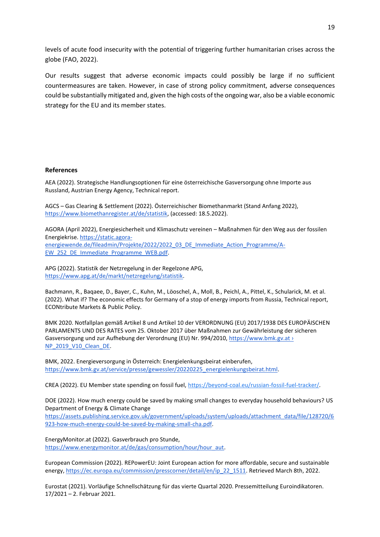levels of acute food insecurity with the potential of triggering further humanitarian crises across the globe (FAO, 2022).

Our results suggest that adverse economic impacts could possibly be large if no sufficient countermeasures are taken. However, in case of strong policy commitment, adverse consequences could be substantially mitigated and, given the high costs of the ongoing war, also be a viable economic strategy for the EU and its member states.

#### **References**

AEA (2022). Strategische Handlungsoptionen für eine österreichische Gasversorgung ohne Importe aus Russland, Austrian Energy Agency, Technical report.

AGCS – Gas Clearing & Settlement (2022). Österreichischer Biomethanmarkt (Stand Anfang 2022), [https://www.biomethanregister.at/de/statistik,](https://www.biomethanregister.at/de/statistik) (accessed: 18.5.2022).

AGORA (April 2022), Energiesicherheit und Klimaschutz vereinen – Maßnahmen für den Weg aus der fossilen Energiekrise. [https://static.agora](https://static.agora-energiewende.de/fileadmin/Projekte/2022/2022_03_DE_Immediate_Action_Programme/A-EW_252_DE_Immediate_Programme_WEB.pdf)[energiewende.de/fileadmin/Projekte/2022/2022\\_03\\_DE\\_Immediate\\_Action\\_Programme/A-](https://static.agora-energiewende.de/fileadmin/Projekte/2022/2022_03_DE_Immediate_Action_Programme/A-EW_252_DE_Immediate_Programme_WEB.pdf)[EW\\_252\\_DE\\_Immediate\\_Programme\\_WEB.pdf.](https://static.agora-energiewende.de/fileadmin/Projekte/2022/2022_03_DE_Immediate_Action_Programme/A-EW_252_DE_Immediate_Programme_WEB.pdf)

APG (2022). Statistik der Netzregelung in der Regelzone APG, [https://www.apg.at/de/markt/netzregelung/statistik.](https://www.apg.at/de/markt/netzregelung/statistik)

Bachmann, R., Baqaee, D., Bayer, C., Kuhn, M., Löoschel, A., Moll, B., Peichl, A., Pittel, K., Schularick, M. et al. (2022). What if? The economic effects for Germany of a stop of energy imports from Russia, Technical report, ECONtribute Markets & Public Policy.

BMK 2020. [Notfallplan gemäß Artikel 8 und Artikel 10 der VERORDNUNG \(EU\) 2017/1938 DES EUROP](https://www.bmk.gv.at/dam/jcr:d04afb56-d2d9-4732-8ef8-8596e1985d69/NP_2019_V10_Clean_DE.pdf)ÄISCHEN [PARLAMENTS UND DES RATES vom 25. Oktober 2017](https://www.bmk.gv.at/dam/jcr:d04afb56-d2d9-4732-8ef8-8596e1985d69/NP_2019_V10_Clean_DE.pdf) über Maßnahmen zur Gewährleistung der sicheren [Gasversorgung und zur Aufhebung der Verordnung \(EU\) Nr. 994/2010,](https://www.bmk.gv.at/dam/jcr:d04afb56-d2d9-4732-8ef8-8596e1985d69/NP_2019_V10_Clean_DE.pdf) https://www.bmk.gv.at > NP 2019 V10 Clean DE.

BMK, 2022. Energieversorgung in Österreich: Energielenkungsbeirat einberufen, [https://www.bmk.gv.at/service/presse/gewessler/20220225\\_energielenkungsbeirat.html.](https://www.bmk.gv.at/service/presse/gewessler/20220225_energielenkungsbeirat.html)

CREA (2022). EU Member state spending on fossil fuel[, https://beyond-coal.eu/russian-fossil-fuel-tracker/.](https://beyond-coal.eu/russian-fossil-fuel-tracker/)

DOE (2022). How much energy could be saved by making small changes to everyday household behaviours? US Department of Energy & Climate Change

[https://assets.publishing.service.gov.uk/government/uploads/system/uploads/attachment\\_data/file/128720/6](https://assets.publishing.service.gov.uk/government/uploads/system/uploads/attachment_data/file/128720/6923-how-much-energy-could-be-saved-by-making-small-cha.pdf) [923-how-much-energy-could-be-saved-by-making-small-cha.pdf.](https://assets.publishing.service.gov.uk/government/uploads/system/uploads/attachment_data/file/128720/6923-how-much-energy-could-be-saved-by-making-small-cha.pdf)

EnergyMonitor.at (2022). Gasverbrauch pro Stunde, [https://www.energymonitor.at/de/gas/consumption/hour/hour\\_aut.](https://www.energymonitor.at/de/gas/consumption/hour/hour_aut)

European Commission (2022). [REPowerEU: Joint European action for more affordable, secure and sustainable](https://ec.europa.eu/commission/presscorner/detail/en/ip_22_1511)  [energy,](https://ec.europa.eu/commission/presscorner/detail/en/ip_22_1511) https://ec.europa.eu/commission/presscorner/detail/en/ip\_22\_1511. Retrieved March 8th, 2022.

Eurostat (2021). Vorläufige Schnellschätzung für das vierte Quartal 2020. Pressemitteilung Euroindikatoren. 17/2021 – 2. Februar 2021.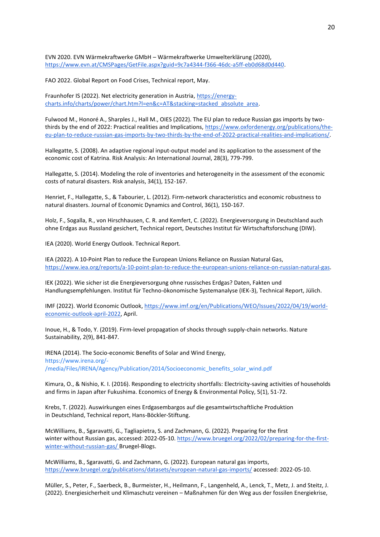EVN 2020. EVN Wärmekraftwerke GMbH – Wärmekraftwerke Umwelterklärung (2020), [https://www.evn.at/CMSPages/GetFile.aspx?guid=9c7a4344-f366-46dc-a5ff-eb0d68d0d440.](https://www.evn.at/CMSPages/GetFile.aspx?guid=9c7a4344-f366-46dc-a5ff-eb0d68d0d440)

FAO 2022. Global Report on Food Crises, Technical report, May.

Fraunhofer IS (2022). Net electricity generation in Austria, [https://energy](https://energy-charts.info/charts/power/chart.htm?l=en&c=AT&stacking=stacked_absolute_area)[charts.info/charts/power/chart.htm?l=en&c=AT&stacking=stacked\\_absolute\\_area.](https://energy-charts.info/charts/power/chart.htm?l=en&c=AT&stacking=stacked_absolute_area)

Fulwood M., Honoré A., Sharples J., Hall M., OIES (2022). The EU plan to reduce Russian gas imports by twothirds by the end of 2022: Practical realities and Implications[, https://www.oxfordenergy.org/publications/the](https://www.oxfordenergy.org/publications/the-eu-plan-to-reduce-russian-gas-imports-by-two-thirds-by-the-end-of-2022-practical-realities-and-implications/)[eu-plan-to-reduce-russian-gas-imports-by-two-thirds-by-the-end-of-2022-practical-realities-and-implications/.](https://www.oxfordenergy.org/publications/the-eu-plan-to-reduce-russian-gas-imports-by-two-thirds-by-the-end-of-2022-practical-realities-and-implications/)

Hallegatte, S. (2008). An adaptive regional input‐output model and its application to the assessment of the economic cost of Katrina. Risk Analysis: An International Journal, 28(3), 779-799.

Hallegatte, S. (2014). Modeling the role of inventories and heterogeneity in the assessment of the economic costs of natural disasters. Risk analysis, 34(1), 152-167.

Henriet, F., Hallegatte, S., & Tabourier, L. (2012). Firm-network characteristics and economic robustness to natural disasters. Journal of Economic Dynamics and Control, 36(1), 150-167.

Holz, F., Sogalla, R., von Hirschhausen, C. R. and Kemfert, C. (2022). Energieversorgung in Deutschland auch ohne Erdgas aus Russland gesichert, Technical report, Deutsches Institut für Wirtschaftsforschung (DIW).

IEA (2020). World Energy Outlook. Technical Report.

IEA (2022). A 10-Point Plan to reduce the European Unions Reliance on Russian Natural Gas, [https://www.iea.org/reports/a-10-point-plan-to-reduce-the-european-unions-reliance-on-russian-natural-gas.](https://www.iea.org/reports/a-10-point-plan-to-reduce-the-european-unions-reliance-on-russian-natural-gas)

IEK (2022). Wie sicher ist die Energieversorgung ohne russisches Erdgas? Daten, Fakten und Handlungsempfehlungen. Institut für Techno-ökonomische Systemanalyse (IEK-3), Technical Report, Jülich.

IMF (2022)[. World Economic Outlook, https://www.imf.org/en/Publications/WEO/Issues/2022/04/19/world](https://www.imf.org/en/Publications/WEO/Issues/2022/04/19/world-economic-outlook-april-2022)[economic-outlook-april-2022,](https://www.imf.org/en/Publications/WEO/Issues/2022/04/19/world-economic-outlook-april-2022) April.

Inoue, H., & Todo, Y. (2019). Firm-level propagation of shocks through supply-chain networks. Nature Sustainability, 2(9), 841-847.

IRENA (2014). The Socio-economic Benefits of Solar and Wind Energy, [https://www.irena.org/-](https://www.irena.org/-/media/Files/IRENA/Agency/Publication/2014/Socioeconomic_benefits_solar_wind.pdf) [/media/Files/IRENA/Agency/Publication/2014/Socioeconomic\\_benefits\\_solar\\_wind.pdf](https://www.irena.org/-/media/Files/IRENA/Agency/Publication/2014/Socioeconomic_benefits_solar_wind.pdf)

Kimura, O., & Nishio, K. I. (2016). Responding to electricity shortfalls: Electricity-saving activities of households and firms in Japan after Fukushima. Economics of Energy & Environmental Policy, 5(1), 51-72.

Krebs, T. (2022). Auswirkungen eines Erdgasembargos auf die gesamtwirtschaftliche Produktion in Deutschland, Technical report, Hans-Böckler-Stiftung.

McWilliams, B., Sgaravatti, G., Tagliapietra, S. and Zachmann, G. (2022)[. Preparing for the first](https://www.bruegel.org/2022/02/preparing-for-the-first-winter-without-russian-gas/)  [winter without Russian gas,](https://www.bruegel.org/2022/02/preparing-for-the-first-winter-without-russian-gas/) accessed: 2022-05-10[. https://www.bruegel.org/2022/02/preparing-for-the-first](https://www.bruegel.org/2022/02/preparing-for-the-first-winter-without-russian-gas/)[winter-without-russian-gas/ B](https://www.bruegel.org/2022/02/preparing-for-the-first-winter-without-russian-gas/)ruegel-Blogs.

McWilliams, B., Sgaravatti, G. and Zachmann, G. (2022). [European natural gas imports,](https://www.bruegel.org/publications/datasets/european-natural-gas-imports/)  <https://www.bruegel.org/publications/datasets/european-natural-gas-imports/>accessed: 2022-05-10.

Müller, S., Peter, F., Saerbeck, B., Burmeister, H., Heilmann, F., Langenheld, A., Lenck, T., Metz, J. and Steitz, J. (2022). Energiesicherheit und Klimaschutz vereinen – Maßnahmen für den Weg aus der fossilen Energiekrise,